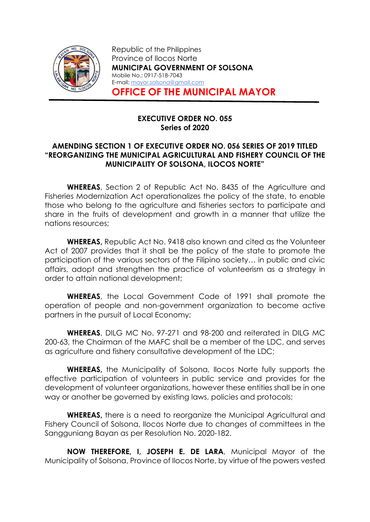

Republic of the Philippines Province of Ilocos Norte MUNICIPAL GOVERNMENT OF SOLSONA Mobile No.: 0917-518-7043 E-mail: mayor.solsona@gmail.com OFFICE OF THE MUNICIPAL MAYOR

## EXECUTIVE ORDER NO. 055 Series of 2020

## AMENDING SECTION 1 OF EXECUTIVE ORDER NO. 056 SERIES OF 2019 TITLED "REORGANIZING THE MUNICIPAL AGRICULTURAL AND FISHERY COUNCIL OF THE MUNICIPALITY OF SOLSONA, ILOCOS NORTE"

WHEREAS, Section 2 of Republic Act No. 8435 of the Agriculture and Fisheries Modernization Act operationalizes the policy of the state, to enable those who belong to the agriculture and fisheries sectors to participate and share in the fruits of development and growth in a manner that utilize the nations resources;

WHEREAS, Republic Act No. 9418 also known and cited as the Volunteer Act of 2007 provides that it shall be the policy of the state to promote the participation of the various sectors of the Filipino society… in public and civic affairs, adopt and strengthen the practice of volunteerism as a strategy in order to attain national development;

WHEREAS, the Local Government Code of 1991 shall promote the operation of people and non-government organization to become active partners in the pursuit of Local Economy;

WHEREAS, DILG MC No. 97-271 and 98-200 and reiterated in DILG MC 200-63, the Chairman of the MAFC shall be a member of the LDC, and serves as agriculture and fishery consultative development of the LDC;

WHEREAS, the Municipality of Solsona, Ilocos Norte fully supports the effective participation of volunteers in public service and provides for the development of volunteer organizations, however these entities shall be in one way or another be governed by existing laws, policies and protocols;

WHEREAS, there is a need to reorganize the Municipal Agricultural and Fishery Council of Solsona, Ilocos Norte due to changes of committees in the Sangguniang Bayan as per Resolution No. 2020-182.

NOW THEREFORE, I, JOSEPH E. DE LARA, Municipal Mayor of the Municipality of Solsona, Province of Ilocos Norte, by virtue of the powers vested